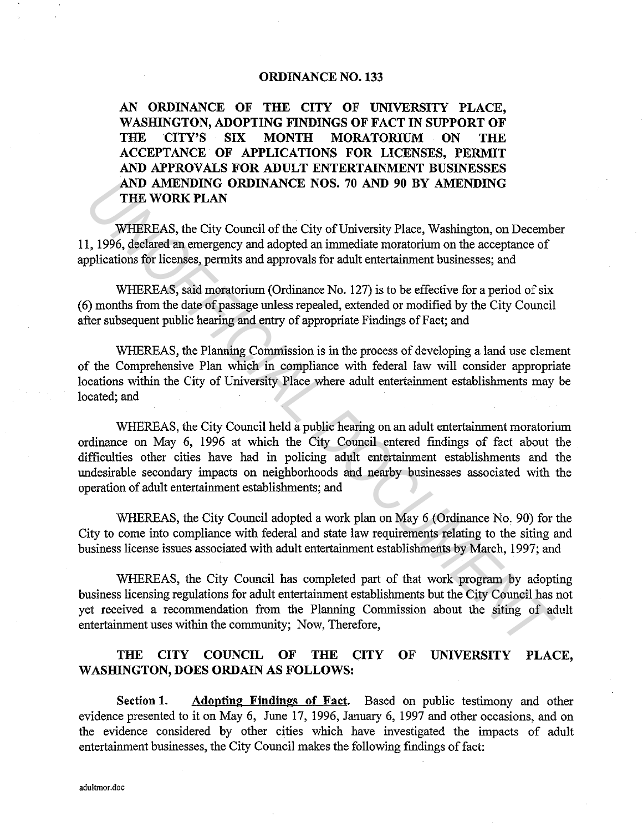## ORDINANCE NO. 133

AN ORDINANCE OF THE CITY OF UNIVERSITY PLACE, WASHINGTON, ADOPTING FINDINGS OF FACT IN SUPPORT OF THE CITY'S SIX MONTH MORATORIUM ON THE ACCEPTANCE OF APPLICATIONS FOR LICENSES, PERMIT AND APPROVALS FOR ADULT ENTERTAINMENT BUSINESSES AND AMENDING ORDINANCE NOS. 70 AND 90 BY AMENDING THE WORK PLAN

WHEREAS, the City Council of the City of University Place, Washington, on December 11, 1996, declared an emergency and adopted an immediate moratorium on the acceptance of applications for licenses, permits and approvals for adult entertainment businesses; and

WHEREAS, said moratorium (Ordinance No. 127) is to be effective for a period of six ( 6) months from the date of passage unless repealed, extended or modified by the City Council after subsequent public hearing and entry of appropriate Findings of Fact; and

WHEREAS, the Planning Commission is in the process of developing a land use element of the Comprehensive Plan which in compliance with federal law will consider appropriate locations within the City of University Place where adult entertainment establishments may be located; and

WHEREAS, the City Council held a public hearing on an adult entertainment moratorium ordinance on May 6, 1996 at which the City Council entered findings of fact about the difficulties other cities have had in policing adult entertainment establishments and the undesirable secondary impacts on neighborhoods and nearby businesses associated with the operation of adult entertainment establishments; and AND AMEXENING **GREINTANCE NOS. 70 AND 90 BY AMENDING**<br> **THE WORK PLAN**<br> **WHEREAS**, the City Council of the City of University Place, Washington, on December<br>
1, 1996, declared an emergency and adopted an immediate moratori

WHEREAS, the City Council adopted a work plan on May 6 (Ordinance No, 90) for the City to come into compliance with federal and state law requirements relating to the siting and business license issues associated with adult entertainment establishments by March, 1997; and

WHEREAS, the City Council has completed part of that work program by adopting business licensing regulations for adult entertainment establishments but the City Council has not yet received a recommendation from the Planning Commission about the siting of adult entertainment uses within the community; Now, Therefore,

## THE CITY COUNCIL OF THE CITY OF UNIVERSITY PLACE, WASHINGTON, DOES ORDAIN AS FOLLOWS:

Section 1. Adopting Findings of Fact. Based on public testimony and other evidence presented to it on May 6, June 17, 1996, January 6, 1997 and other occasions, and on the evidence considered by other cities which have investigated the impacts of adult entertainment businesses, the City Council makes the following findings of fact: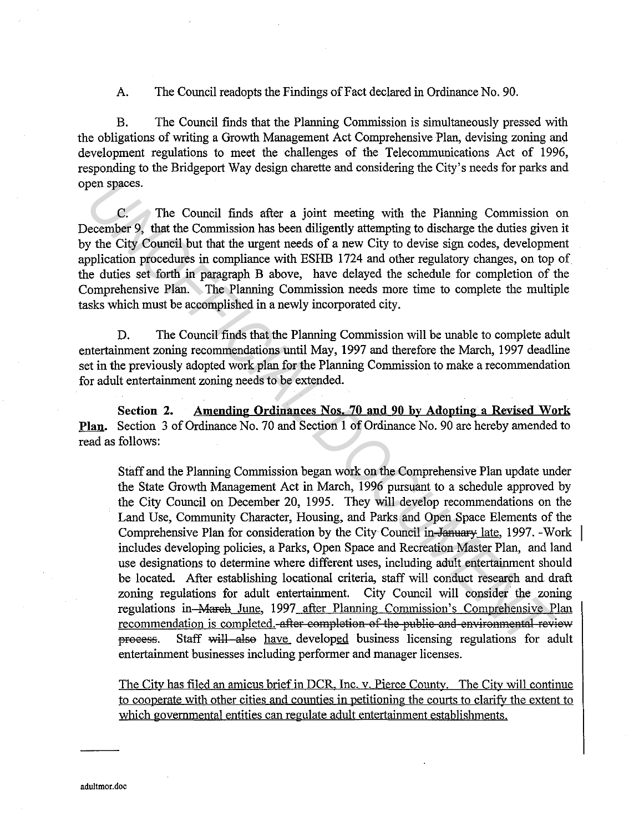A. The Council readopts the Findings of Fact declared in Ordinance No. 90.

B. The Council finds that the Planning Commission is simultaneously pressed with the obligations of writing a Growth Management Act Comprehensive Plan, devising zoning and development regulations to meet the challenges of the Telecommunications Act of 1996, responding to the Bridgeport Way design charette and considering the City's needs for parks and open spaces.

C. The Council finds after a joint meeting with the Planning Commission on December 9, that the Commission has been diligently attempting to discharge the duties given it by the City Council but that the urgent needs of a new City to devise sign codes, development application procedures in compliance with ESHB 1724 and other regulatory changes, on top of the duties set forth in paragraph B above, have delayed the schedule for completion of the Comprehensive Plan. The Planning Commission needs more time to complete the multiple tasks which must be accomplished in a newly incorporated city.

D. The Council finds that the Planning Commission will be unable to complete adult entertainment zoning recommendations until May, 1997 and therefore the March, 1997 deadline set in the previously adopted work plan for the Planning Commission to make a recommendation for adult entertainment zoning needs to be extended.

**Section 2. Amending Ordinances Nos. 70 and 90 by Adopting a Revised Work Plan.** Section 3 of Ordinance No. 70 and Section **1** of Ordinance No. 90 are hereby amended to read as follows:

Staff and the Planning Commission began work on the Comprehensive Plan update under the State Growth Management Act in March, 1996 pursuant to a schedule approved by the City Council on December 20, 1995. They will develop recommendations on the Land Use, Community Character, Housing, and Parks and Open Space Elements of the Comprehensive Plan for consideration by the City Council in January late, 1997. -Work includes developing policies, a Parks, Open Space and Recreation Master Plan, and land use designations to determine where different uses, including adult entertainment should be located. After establishing locational criteria, staff will conduct research and draft zoning regulations for adult entertainment. City Council will consider the zoning regulations in Mareh June, 1997 after Planning Commission's Comprehensive Plan recommendation is completed. after completion of the public and environmental review process. Staff will also have developed business licensing regulations for adult entertainment businesses including performer and manager licenses. Co. The Council finds after a joint meeting with the Planning Commission<br>
Coccurs - The Council finds after a joint meeting with the Planning Commission<br>
because the City Council but that the urgent needs of a new City to

The City has filed an amicus brief in DCR. Inc. v. Pierce County. The City will continue to cooperate with other cities and counties in petitioning the courts to clarify the extent to which governmental entities can regulate adult entertainment establishments.